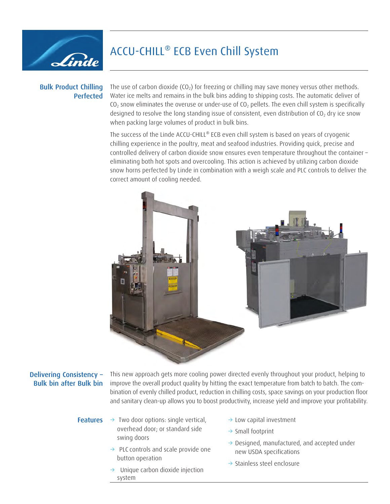

# ACCU-CHILL® ECB Even Chill System

### Bulk Product Chilling Perfected

The use of carbon dioxide  $(CO_2)$  for freezing or chilling may save money versus other methods. Water ice melts and remains in the bulk bins adding to shipping costs. The automatic deliver of  $CO<sub>2</sub>$  snow eliminates the overuse or under-use of  $CO<sub>2</sub>$  pellets. The even chill system is specifically designed to resolve the long standing issue of consistent, even distribution of  $CO<sub>2</sub>$  dry ice snow when packing large volumes of product in bulk bins.

The success of the Linde ACCU-CHILL® ECB even chill system is based on years of cryogenic chilling experience in the poultry, meat and seafood industries. Providing quick, precise and controlled delivery of carbon dioxide snow ensures even temperature throughout the container – eliminating both hot spots and overcooling. This action is achieved by utilizing carbon dioxide snow horns perfected by Linde in combination with a weigh scale and PLC controls to deliver the correct amount of cooling needed.



## Delivering Consistency – Bulk bin after Bulk bin

This new approach gets more cooling power directed evenly throughout your product, helping to improve the overall product quality by hitting the exact temperature from batch to batch. The combination of evenly chilled product, reduction in chilling costs, space savings on your production floor and sanitary clean-up allows you to boost productivity, increase yield and improve your profitability.

- **Features**  $\rightarrow$  Two door options: single vertical,  $\rightarrow$  Low capital investment overhead door; or standard side swing doors
	- $\rightarrow$  PLC controls and scale provide one button operation
	- Unique carbon dioxide injection system
- 
- $\rightarrow$  Small footprint
- $\rightarrow$  Designed, manufactured, and accepted under new USDA specifications
- $\rightarrow$  Stainless steel enclosure